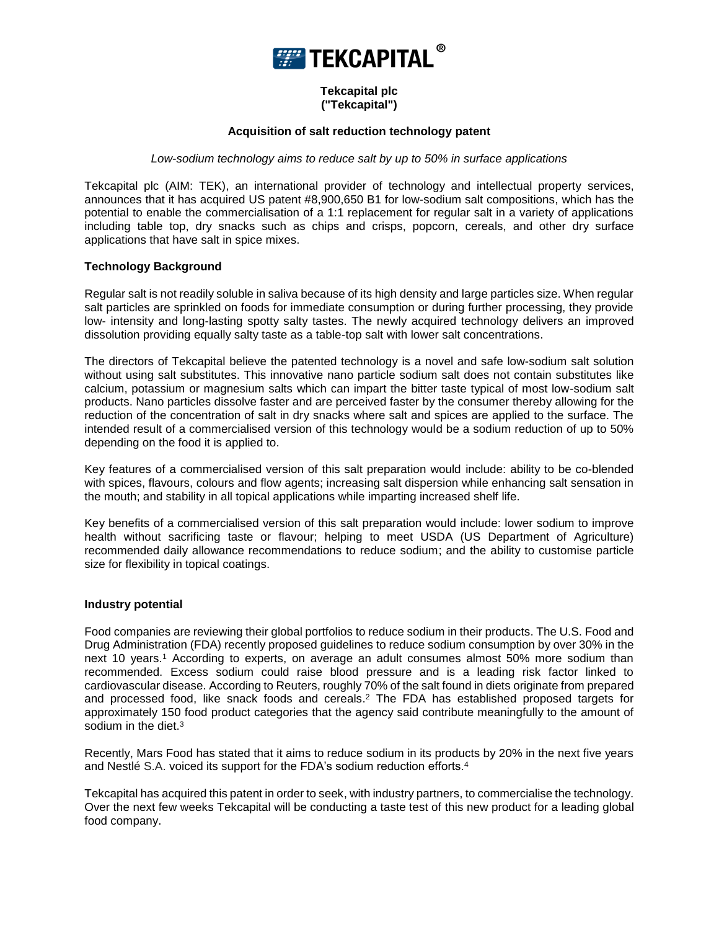

# **Tekcapital plc ("Tekcapital")**

### **Acquisition of salt reduction technology patent**

## *Low-sodium technology aims to reduce salt by up to 50% in surface applications*

Tekcapital plc (AIM: TEK), an international provider of technology and intellectual property services, announces that it has acquired US patent #8,900,650 B1 for low-sodium salt compositions, which has the potential to enable the commercialisation of a 1:1 replacement for regular salt in a variety of applications including table top, dry snacks such as chips and crisps, popcorn, cereals, and other dry surface applications that have salt in spice mixes.

### **Technology Background**

Regular salt is not readily soluble in saliva because of its high density and large particles size. When regular salt particles are sprinkled on foods for immediate consumption or during further processing, they provide low- intensity and long-lasting spotty salty tastes. The newly acquired technology delivers an improved dissolution providing equally salty taste as a table-top salt with lower salt concentrations.

The directors of Tekcapital believe the patented technology is a novel and safe low-sodium salt solution without using salt substitutes. This innovative nano particle sodium salt does not contain substitutes like calcium, potassium or magnesium salts which can impart the bitter taste typical of most low-sodium salt products. Nano particles dissolve faster and are perceived faster by the consumer thereby allowing for the reduction of the concentration of salt in dry snacks where salt and spices are applied to the surface. The intended result of a commercialised version of this technology would be a sodium reduction of up to 50% depending on the food it is applied to.

Key features of a commercialised version of this salt preparation would include: ability to be co-blended with spices, flavours, colours and flow agents; increasing salt dispersion while enhancing salt sensation in the mouth; and stability in all topical applications while imparting increased shelf life.

Key benefits of a commercialised version of this salt preparation would include: lower sodium to improve health without sacrificing taste or flavour; helping to meet USDA (US Department of Agriculture) recommended daily allowance recommendations to reduce sodium; and the ability to customise particle size for flexibility in topical coatings.

#### **Industry potential**

Food companies are reviewing their global portfolios to reduce sodium in their products. The U.S. Food and Drug Administration (FDA) recently proposed guidelines to reduce sodium consumption by over 30% in the next 10 years.<sup>1</sup> According to experts, on average an adult consumes almost 50% more sodium than recommended. Excess sodium could raise blood pressure and is a leading risk factor linked to cardiovascular disease. According to Reuters, roughly 70% of the salt found in diets originate from prepared and processed food, like snack foods and cereals. <sup>2</sup> The FDA has established proposed targets for approximately 150 food product categories that the agency said contribute meaningfully to the amount of sodium in the diet.<sup>3</sup>

Recently, Mars Food has stated that it aims to reduce sodium in its products by 20% in the next five years and Nestlé S.A. voiced its support for the FDA's sodium reduction efforts.<sup>4</sup>

Tekcapital has acquired this patent in order to seek, with industry partners, to commercialise the technology. Over the next few weeks Tekcapital will be conducting a taste test of this new product for a leading global food company.